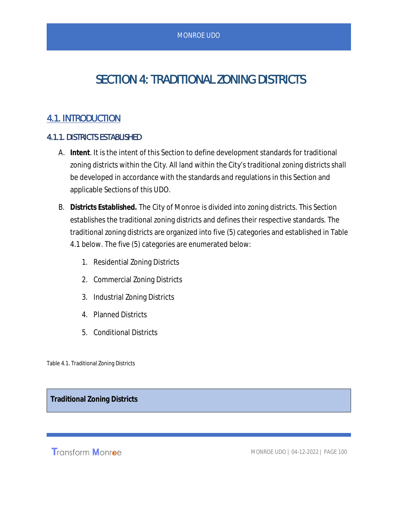# SECTION 4: TRADITIONAL ZONING DISTRICTS

## 4.1. INTRODUCTION

### 4.1.1. DISTRICTS ESTABLISHED

- A. **Intent**. It is the intent of this Section to define development standards for traditional zoning districts within the City. All land within the City's traditional zoning districts shall be developed in accordance with the standards and regulations in this Section and applicable Sections of this UDO.
- B. **Districts Established.** The City of Monroe is divided into zoning districts. This Section establishes the traditional zoning districts and defines their respective standards. The traditional zoning districts are organized into five (5) categories and established in Table 4.1 below. The five (5) categories are enumerated below:
	- 1. Residential Zoning Districts
	- 2. Commercial Zoning Districts
	- 3. Industrial Zoning Districts
	- 4. Planned Districts
	- 5. Conditional Districts

Table 4.1. Traditional Zoning Districts

**Traditional Zoning Districts**

Transform Monroe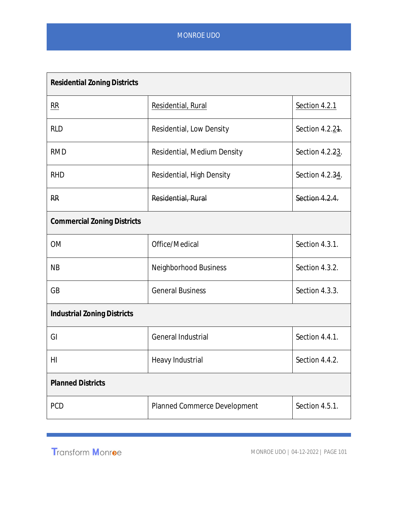| <b>Residential Zoning Districts</b> |                              |                 |
|-------------------------------------|------------------------------|-----------------|
| <b>RR</b>                           | Residential, Rural           | Section 4.2.1   |
| <b>RLD</b>                          | Residential, Low Density     | Section 4.2.21. |
| <b>RMD</b>                          | Residential, Medium Density  | Section 4.2.23. |
| <b>RHD</b>                          | Residential, High Density    | Section 4.2.34. |
| <b>RR</b>                           | Residential, Rural           | Section 4.2.4.  |
| <b>Commercial Zoning Districts</b>  |                              |                 |
| <b>OM</b>                           | Office/Medical               | Section 4.3.1.  |
| <b>NB</b>                           | Neighborhood Business        | Section 4.3.2.  |
| GB                                  | <b>General Business</b>      | Section 4.3.3.  |
| <b>Industrial Zoning Districts</b>  |                              |                 |
| GI                                  | General Industrial           | Section 4.4.1.  |
| HI                                  | Heavy Industrial             | Section 4.4.2.  |
| <b>Planned Districts</b>            |                              |                 |
| <b>PCD</b>                          | Planned Commerce Development | Section 4.5.1.  |

Transform Monroe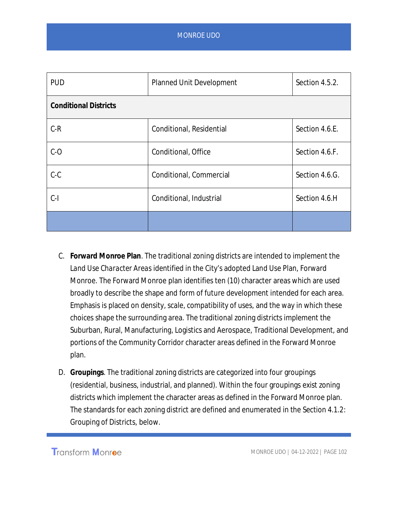| <b>PUD</b>                   | Section 4.5.2.<br><b>Planned Unit Development</b> |                |  |
|------------------------------|---------------------------------------------------|----------------|--|
| <b>Conditional Districts</b> |                                                   |                |  |
| $C-R$                        | Conditional, Residential                          | Section 4.6.E. |  |
| $C-O$                        | Conditional, Office                               | Section 4.6.F. |  |
| $C-C$                        | Conditional, Commercial                           | Section 4.6.G. |  |
| $C-I$                        | Conditional, Industrial                           | Section 4.6.H  |  |
|                              |                                                   |                |  |

- C. **Forward Monroe Plan**. The traditional zoning districts are intended to implement the *Land Use Character Areas* identified in the City's adopted Land Use Plan, Forward Monroe. The Forward Monroe plan identifies ten (10) character areas which are used broadly to describe the shape and form of future development intended for each area. Emphasis is placed on density, scale, compatibility of uses, and the way in which these choices shape the surrounding area. The traditional zoning districts implement the Suburban, Rural, Manufacturing, Logistics and Aerospace, Traditional Development, and portions of the Community Corridor character areas defined in the Forward Monroe plan.
- D. **Groupings**. The traditional zoning districts are categorized into four groupings (residential, business, industrial, and planned). Within the four groupings exist zoning districts which implement the character areas as defined in the Forward Monroe plan. The standards for each zoning district are defined and enumerated in the Section 4.1.2: Grouping of Districts, below.

Transform Monroe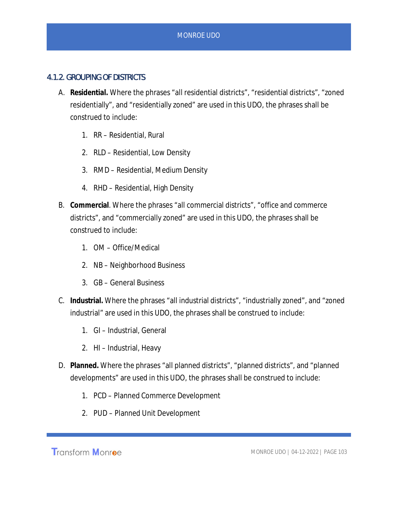## 4.1.2. GROUPING OF DISTRICTS

- A. **Residential.** Where the phrases "all residential districts", "residential districts", "zoned residentially", and "residentially zoned" are used in this UDO, the phrases shall be construed to include:
	- 1. RR Residential, Rural
	- 2. RLD Residential, Low Density
	- 3. RMD Residential, Medium Density
	- 4. RHD Residential, High Density
- B. **Commercial**. Where the phrases "all commercial districts", "office and commerce districts", and "commercially zoned" are used in this UDO, the phrases shall be construed to include:
	- 1. OM Office/Medical
	- 2. NB Neighborhood Business
	- 3. GB General Business
- C. **Industrial.** Where the phrases "all industrial districts", "industrially zoned", and "zoned industrial" are used in this UDO, the phrases shall be construed to include:
	- 1. GI Industrial, General
	- 2. HI Industrial, Heavy
- D. **Planned.** Where the phrases "all planned districts", "planned districts", and "planned developments" are used in this UDO, the phrases shall be construed to include:
	- 1. PCD Planned Commerce Development
	- 2. PUD Planned Unit Development

**Transform Monroe**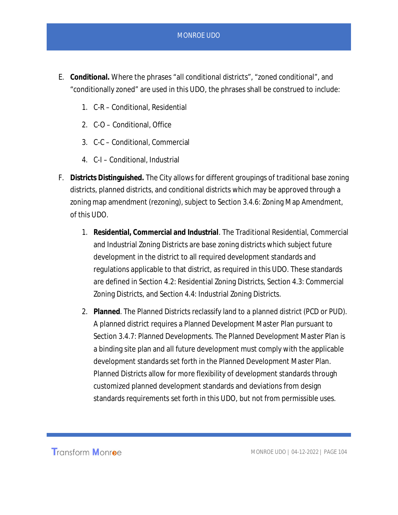- E. **Conditional.** Where the phrases "all conditional districts", "zoned conditional", and "conditionally zoned" are used in this UDO, the phrases shall be construed to include:
	- 1. C-R Conditional, Residential
	- 2. C-O Conditional, Office
	- 3. C-C Conditional, Commercial
	- 4. C-I Conditional, Industrial
- F. **Districts Distinguished.** The City allows for different groupings of traditional base zoning districts, planned districts, and conditional districts which may be approved through a zoning map amendment (rezoning), subject to Section 3.4.6: Zoning Map Amendment, of this UDO.
	- 1. **Residential, Commercial and Industrial**. The Traditional Residential, Commercial and Industrial Zoning Districts are base zoning districts which subject future development in the district to all required development standards and regulations applicable to that district, as required in this UDO. These standards are defined in Section 4.2: Residential Zoning Districts, Section 4.3: Commercial Zoning Districts, and Section 4.4: Industrial Zoning Districts.
	- 2. **Planned**. The Planned Districts reclassify land to a planned district (PCD or PUD). A planned district requires a Planned Development Master Plan pursuant to Section 3.4.7: Planned Developments. The Planned Development Master Plan is a binding site plan and all future development must comply with the applicable development standards set forth in the Planned Development Master Plan. Planned Districts allow for more flexibility of development standards through customized planned development standards and deviations from design standards requirements set forth in this UDO, but not from permissible uses.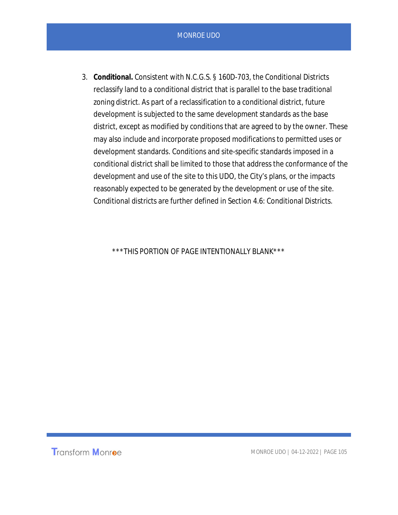3. **Conditional.** Consistent with N.C.G.S. § 160D-703, the Conditional Districts reclassify land to a conditional district that is parallel to the base traditional zoning district. As part of a reclassification to a conditional district, future development is subjected to the same development standards as the base district, except as modified by conditions that are agreed to by the owner. These may also include and incorporate proposed modifications to permitted uses or development standards. Conditions and site-specific standards imposed in a conditional district shall be limited to those that address the conformance of the development and use of the site to this UDO, the City's plans, or the impacts reasonably expected to be generated by the development or use of the site. Conditional districts are further defined in Section 4.6: Conditional Districts.

\*\*\*THIS PORTION OF PAGE INTENTIONALLY BLANK\*\*\*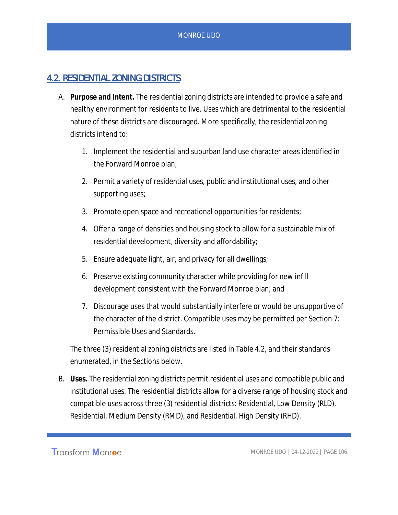## 4.2. RESIDENTIAL ZONING DISTRICTS

- A. **Purpose and Intent.** The residential zoning districts are intended to provide a safe and healthy environment for residents to live. Uses which are detrimental to the residential nature of these districts are discouraged. More specifically, the residential zoning districts intend to:
	- 1. Implement the residential and suburban land use character areas identified in the Forward Monroe plan;
	- 2. Permit a variety of residential uses, public and institutional uses, and other supporting uses;
	- 3. Promote open space and recreational opportunities for residents;
	- 4. Offer a range of densities and housing stock to allow for a sustainable mix of residential development, diversity and affordability;
	- 5. Ensure adequate light, air, and privacy for all dwellings;
	- 6. Preserve existing community character while providing for new infill development consistent with the Forward Monroe plan; and
	- 7. Discourage uses that would substantially interfere or would be unsupportive of the character of the district. Compatible uses may be permitted per Section 7: Permissible Uses and Standards.

The three (3) residential zoning districts are listed in Table 4.2, and their standards enumerated, in the Sections below.

B. **Uses.** The residential zoning districts permit residential uses and compatible public and institutional uses. The residential districts allow for a diverse range of housing stock and compatible uses across three (3) residential districts: Residential, Low Density (RLD), Residential, Medium Density (RMD), and Residential, High Density (RHD).

**Transform Monroe**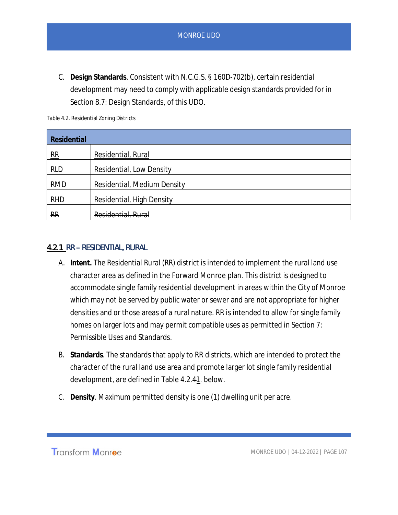C. **Design Standards**. Consistent with N.C.G.S. § 160D-702(b), certain residential development may need to comply with applicable design standards provided for in Section 8.7: Design Standards, of this UDO.

| Residential    |                             |
|----------------|-----------------------------|
| $\frac{RR}{4}$ | Residential, Rural          |
| <b>RLD</b>     | Residential, Low Density    |
| <b>RMD</b>     | Residential, Medium Density |
| <b>RHD</b>     | Residential, High Density   |
| <b>RR</b>      | Residential, Rural          |

## 4.2.1 RR – RESIDENTIAL, RURAL

- A. **Intent.** The Residential Rural (RR) district is intended to implement the rural land use character area as defined in the Forward Monroe plan. This district is designed to accommodate single family residential development in areas within the City of Monroe which may not be served by public water or sewer and are not appropriate for higher densities and or those areas of a rural nature. RR is intended to allow for single family homes on larger lots and may permit compatible uses as permitted in Section 7: Permissible Uses and Standards.
- B. **Standards**. The standards that apply to RR districts, which are intended to protect the character of the rural land use area and promote larger lot single family residential development, are defined in Table 4.2.41. below.
- C. **Density**. Maximum permitted density is one (1) dwelling unit per acre.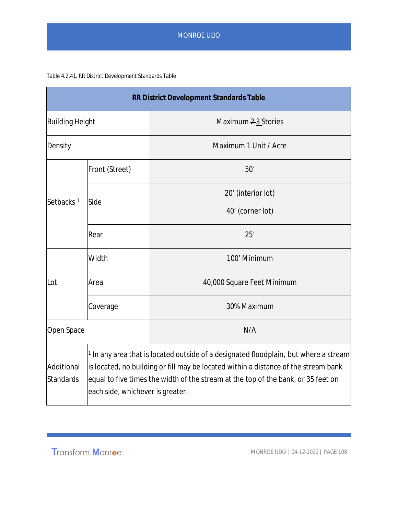#### Table 4.2.41. RR District Development Standards Table

|                         |                                                                                                                                                                                                                                                                                                        | RR District Development Standards Table |  |
|-------------------------|--------------------------------------------------------------------------------------------------------------------------------------------------------------------------------------------------------------------------------------------------------------------------------------------------------|-----------------------------------------|--|
| <b>Building Height</b>  |                                                                                                                                                                                                                                                                                                        | Maximum 2-3 Stories                     |  |
| Density                 |                                                                                                                                                                                                                                                                                                        | Maximum 1 Unit / Acre                   |  |
|                         | Front (Street)                                                                                                                                                                                                                                                                                         | 50'                                     |  |
|                         |                                                                                                                                                                                                                                                                                                        | 20' (interior lot)                      |  |
| Setbacks <sup>1</sup>   | Side                                                                                                                                                                                                                                                                                                   | 40' (corner lot)                        |  |
|                         | Rear                                                                                                                                                                                                                                                                                                   | 25'                                     |  |
|                         | Width                                                                                                                                                                                                                                                                                                  | 100' Minimum                            |  |
| Lot                     | Area                                                                                                                                                                                                                                                                                                   | 40,000 Square Feet Minimum              |  |
|                         | Coverage                                                                                                                                                                                                                                                                                               | 30% Maximum                             |  |
| Open Space              |                                                                                                                                                                                                                                                                                                        | N/A                                     |  |
| Additional<br>Standards | $1$ In any area that is located outside of a designated floodplain, but where a stream<br>is located, no building or fill may be located within a distance of the stream bank<br>equal to five times the width of the stream at the top of the bank, or 35 feet on<br>each side, whichever is greater. |                                         |  |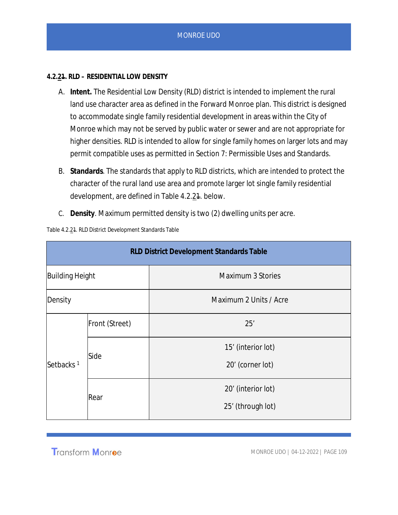#### **4.2.21. RLD – RESIDENTIAL LOW DENSITY**

- A. **Intent.** The Residential Low Density (RLD) district is intended to implement the rural land use character area as defined in the Forward Monroe plan. This district is designed to accommodate single family residential development in areas within the City of Monroe which may not be served by public water or sewer and are not appropriate for higher densities. RLD is intended to allow for single family homes on larger lots and may permit compatible uses as permitted in Section 7: Permissible Uses and Standards.
- B. **Standards**. The standards that apply to RLD districts, which are intended to protect the character of the rural land use area and promote larger lot single family residential development, are defined in Table 4.2.24. below.
- C. **Density**. Maximum permitted density is two (2) dwelling units per acre.

| RLD District Development Standards Table |                |                          |
|------------------------------------------|----------------|--------------------------|
| <b>Building Height</b>                   |                | <b>Maximum 3 Stories</b> |
| Density                                  |                | Maximum 2 Units / Acre   |
| Setbacks <sup>1</sup>                    | Front (Street) | 25'                      |
|                                          | Side           | 15' (interior lot)       |
|                                          |                | 20' (corner lot)         |
|                                          | Rear           | 20' (interior lot)       |
|                                          |                | 25' (through lot)        |

Table 4.2.21. RLD District Development Standards Table

**Transform Monroe**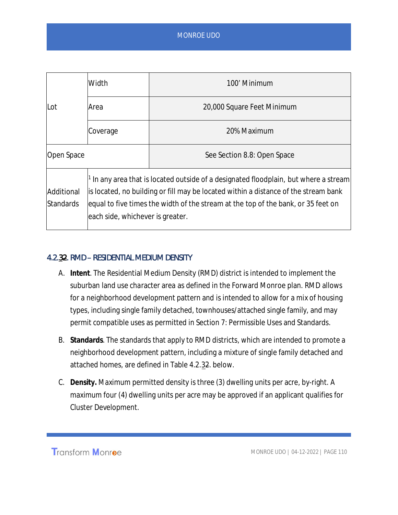|                                | Width                                                                                                                                                                                                                                                                                              | 100' Minimum                |  |
|--------------------------------|----------------------------------------------------------------------------------------------------------------------------------------------------------------------------------------------------------------------------------------------------------------------------------------------------|-----------------------------|--|
| Lot                            | Area                                                                                                                                                                                                                                                                                               | 20,000 Square Feet Minimum  |  |
|                                | Coverage                                                                                                                                                                                                                                                                                           | 20% Maximum                 |  |
| Open Space                     |                                                                                                                                                                                                                                                                                                    | See Section 8.8: Open Space |  |
| Additional<br><b>Standards</b> | In any area that is located outside of a designated floodplain, but where a stream<br>is located, no building or fill may be located within a distance of the stream bank<br>equal to five times the width of the stream at the top of the bank, or 35 feet on<br>each side, whichever is greater. |                             |  |

### 4.2.32. RMD – RESIDENTIAL MEDIUM DENSITY

- A. **Intent**. The Residential Medium Density (RMD) district is intended to implement the suburban land use character area as defined in the Forward Monroe plan. RMD allows for a neighborhood development pattern and is intended to allow for a mix of housing types, including single family detached, townhouses/attached single family, and may permit compatible uses as permitted in Section 7: Permissible Uses and Standards.
- B. **Standards**. The standards that apply to RMD districts, which are intended to promote a neighborhood development pattern, including a mixture of single family detached and attached homes, are defined in Table 4.2.32. below.
- C. **Density.** Maximum permitted density is three (3) dwelling units per acre, by-right. A maximum four (4) dwelling units per acre may be approved if an applicant qualifies for Cluster Development.

**Transform Monroe**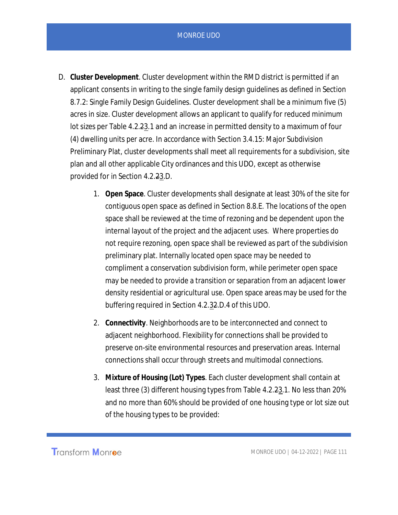- D. **Cluster Development**. Cluster development within the RMD district is permitted if an applicant consents in writing to the single family design guidelines as defined in Section 8.7.2: Single Family Design Guidelines. Cluster development shall be a minimum five (5) acres in size. Cluster development allows an applicant to qualify for reduced minimum lot sizes per Table 4.2.23.1 and an increase in permitted density to a maximum of four (4) dwelling units per acre. In accordance with Section 3.4.15: Major Subdivision Preliminary Plat, cluster developments shall meet all requirements for a subdivision, site plan and all other applicable City ordinances and this UDO, except as otherwise provided for in Section 4.2.23.D.
	- 1. **Open Space**. Cluster developments shall designate at least 30% of the site for contiguous open space as defined in Section 8.8.E. The locations of the open space shall be reviewed at the time of rezoning and be dependent upon the internal layout of the project and the adjacent uses. Where properties do not require rezoning, open space shall be reviewed as part of the subdivision preliminary plat. Internally located open space may be needed to compliment a conservation subdivision form, while perimeter open space may be needed to provide a transition or separation from an adjacent lower density residential or agricultural use. Open space areas may be used for the buffering required in Section 4.2.32.D.4 of this UDO.
	- 2. **Connectivity**. Neighborhoods are to be interconnected and connect to adjacent neighborhood. Flexibility for connections shall be provided to preserve on-site environmental resources and preservation areas. Internal connections shall occur through streets and multimodal connections.
	- 3. **Mixture of Housing (Lot) Types**. Each cluster development shall contain at least three (3) different housing types from Table 4.2.23.1. No less than 20% and no more than 60% should be provided of one housing type or lot size out of the housing types to be provided: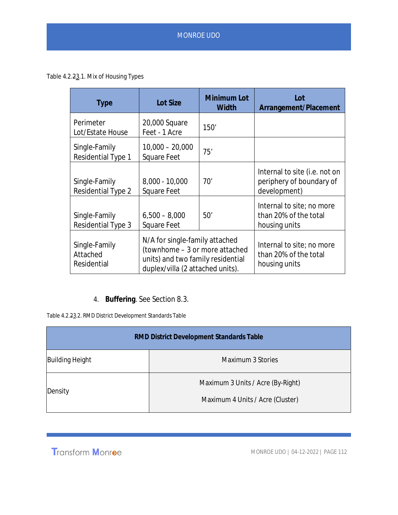Table 4.2.23.1. Mix of Housing Types

| <b>Type</b>                                | <b>Lot Size</b>                                                                                                                           | Minimum Lot<br>Width | Lot<br>Arrangement/Placement                                              |
|--------------------------------------------|-------------------------------------------------------------------------------------------------------------------------------------------|----------------------|---------------------------------------------------------------------------|
| Perimeter<br>Lot/Estate House              | 20,000 Square<br>Feet - 1 Acre                                                                                                            | 150'                 |                                                                           |
| Single-Family<br>Residential Type 1        | $10,000 - 20,000$<br><b>Square Feet</b>                                                                                                   | 75'                  |                                                                           |
| Single-Family<br><b>Residential Type 2</b> | $8,000 - 10,000$<br>Square Feet                                                                                                           | 70'                  | Internal to site (i.e. not on<br>periphery of boundary of<br>development) |
| Single-Family<br><b>Residential Type 3</b> | $6,500 - 8,000$<br>Square Feet                                                                                                            | 50'                  | Internal to site; no more<br>than 20% of the total<br>housing units       |
| Single-Family<br>Attached<br>Residential   | N/A for single-family attached<br>(townhome - 3 or more attached<br>units) and two family residential<br>duplex/villa (2 attached units). |                      | Internal to site; no more<br>than 20% of the total<br>housing units       |

4. **Buffering**. See Section 8.3.

Table 4.2.23.2. RMD District Development Standards Table

| RMD District Development Standards Table |                                                                       |  |
|------------------------------------------|-----------------------------------------------------------------------|--|
| <b>Building Height</b>                   | Maximum 3 Stories                                                     |  |
| Density                                  | Maximum 3 Units / Acre (By-Right)<br>Maximum 4 Units / Acre (Cluster) |  |

Transform Monroe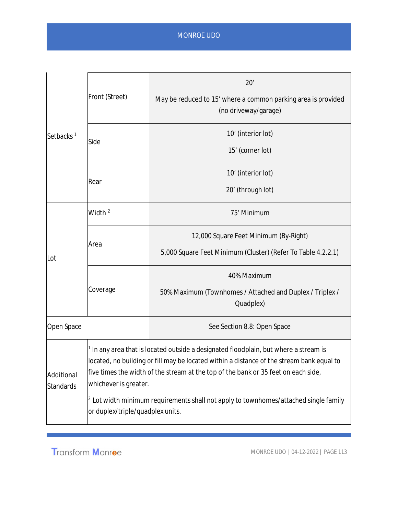| Setbacks <sup>1</sup>   | Front (Street)                                                                                                                                                                                                                                                                                                                                                                                                                            | 20'<br>May be reduced to 15' where a common parking area is provided<br>(no driveway/garage)          |  |
|-------------------------|-------------------------------------------------------------------------------------------------------------------------------------------------------------------------------------------------------------------------------------------------------------------------------------------------------------------------------------------------------------------------------------------------------------------------------------------|-------------------------------------------------------------------------------------------------------|--|
|                         | Side                                                                                                                                                                                                                                                                                                                                                                                                                                      | 10' (interior lot)<br>15' (corner lot)                                                                |  |
|                         | Rear                                                                                                                                                                                                                                                                                                                                                                                                                                      | 10' (interior lot)<br>20' (through lot)                                                               |  |
| Lot                     | Width <sup>2</sup>                                                                                                                                                                                                                                                                                                                                                                                                                        | 75' Minimum                                                                                           |  |
|                         | Area                                                                                                                                                                                                                                                                                                                                                                                                                                      | 12,000 Square Feet Minimum (By-Right)<br>5,000 Square Feet Minimum (Cluster) (Refer To Table 4.2.2.1) |  |
|                         | Coverage                                                                                                                                                                                                                                                                                                                                                                                                                                  | 40% Maximum<br>50% Maximum (Townhomes / Attached and Duplex / Triplex /<br>Quadplex)                  |  |
| Open Space              |                                                                                                                                                                                                                                                                                                                                                                                                                                           | See Section 8.8: Open Space                                                                           |  |
| Additional<br>Standards | $1$ In any area that is located outside a designated floodplain, but where a stream is<br>located, no building or fill may be located within a distance of the stream bank equal to<br>five times the width of the stream at the top of the bank or 35 feet on each side,<br>whichever is greater.<br>$^{\vert 2}$ Lot width minimum requirements shall not apply to townhomes/attached single family<br>or duplex/triple/quadplex units. |                                                                                                       |  |

Transform Monroe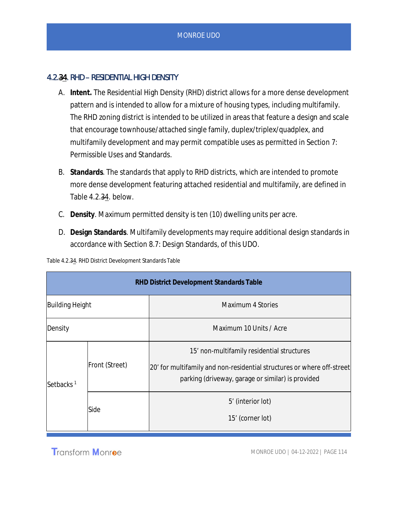## 4.2.34. RHD – RESIDENTIAL HIGH DENSITY

- A. **Intent.** The Residential High Density (RHD) district allows for a more dense development pattern and is intended to allow for a mixture of housing types, including multifamily. The RHD zoning district is intended to be utilized in areas that feature a design and scale that encourage townhouse/attached single family, duplex/triplex/quadplex, and multifamily development and may permit compatible uses as permitted in Section 7: Permissible Uses and Standards.
- B. **Standards**. The standards that apply to RHD districts, which are intended to promote more dense development featuring attached residential and multifamily, are defined in Table 4.2.34. below.
- C. **Density**. Maximum permitted density is ten (10) dwelling units per acre.
- D. **Design Standards**. Multifamily developments may require additional design standards in accordance with Section 8.7: Design Standards, of this UDO.

| Table 4.2.34. RHD District Development Standards Table |  |  |
|--------------------------------------------------------|--|--|
|                                                        |  |  |

| RHD District Development Standards Table |                |                                                                                                                                                                           |
|------------------------------------------|----------------|---------------------------------------------------------------------------------------------------------------------------------------------------------------------------|
| <b>Building Height</b>                   |                | Maximum 4 Stories                                                                                                                                                         |
| Density                                  |                | Maximum 10 Units / Acre                                                                                                                                                   |
| Setbacks <sup>1</sup><br>Side            | Front (Street) | 15' non-multifamily residential structures<br>20' for multifamily and non-residential structures or where off-street<br>parking (driveway, garage or similar) is provided |
|                                          |                | 5' (interior lot)<br>15' (corner lot)                                                                                                                                     |

**Transform Monroe**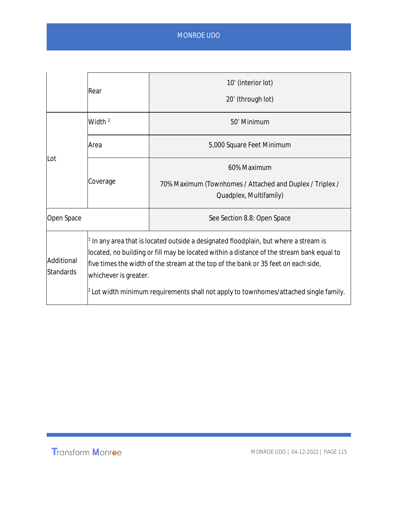|                                | Rear                                                                                                                                                                                                                                                                                                                                                                                       | 10' (interior lot)<br>20' (through lot)                                                           |
|--------------------------------|--------------------------------------------------------------------------------------------------------------------------------------------------------------------------------------------------------------------------------------------------------------------------------------------------------------------------------------------------------------------------------------------|---------------------------------------------------------------------------------------------------|
| Lot                            | Width $2$                                                                                                                                                                                                                                                                                                                                                                                  | 50' Minimum                                                                                       |
|                                | Area                                                                                                                                                                                                                                                                                                                                                                                       | 5,000 Square Feet Minimum                                                                         |
|                                | Coverage                                                                                                                                                                                                                                                                                                                                                                                   | 60% Maximum<br>70% Maximum (Townhomes / Attached and Duplex / Triplex /<br>Quadplex, Multifamily) |
| Open Space                     |                                                                                                                                                                                                                                                                                                                                                                                            | See Section 8.8: Open Space                                                                       |
| Additional<br><b>Standards</b> | In any area that is located outside a designated floodplain, but where a stream is<br>located, no building or fill may be located within a distance of the stream bank equal to<br>five times the width of the stream at the top of the bank or 35 feet on each side,<br>whichever is greater.<br>$^2$ Lot width minimum requirements shall not apply to townhomes/attached single family. |                                                                                                   |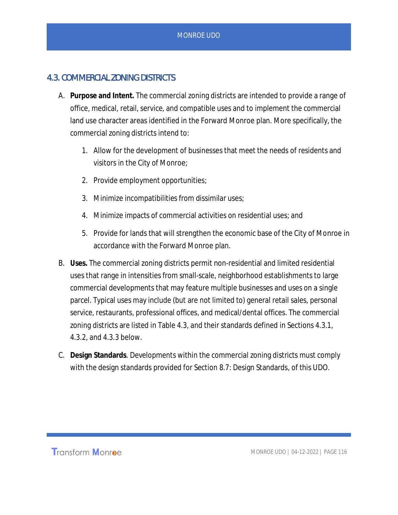## 4.3. COMMERCIAL ZONING DISTRICTS

- A. **Purpose and Intent.** The commercial zoning districts are intended to provide a range of office, medical, retail, service, and compatible uses and to implement the commercial land use character areas identified in the Forward Monroe plan. More specifically, the commercial zoning districts intend to:
	- 1. Allow for the development of businesses that meet the needs of residents and visitors in the City of Monroe;
	- 2. Provide employment opportunities;
	- 3. Minimize incompatibilities from dissimilar uses;
	- 4. Minimize impacts of commercial activities on residential uses; and
	- 5. Provide for lands that will strengthen the economic base of the City of Monroe in accordance with the Forward Monroe plan.
- B. **Uses.** The commercial zoning districts permit non-residential and limited residential uses that range in intensities from small-scale, neighborhood establishments to large commercial developments that may feature multiple businesses and uses on a single parcel. Typical uses may include (but are not limited to) general retail sales, personal service, restaurants, professional offices, and medical/dental offices. The commercial zoning districts are listed in Table 4.3, and their standards defined in Sections 4.3.1, 4.3.2, and 4.3.3 below.
- C. **Design Standards**. Developments within the commercial zoning districts must comply with the design standards provided for Section 8.7: Design Standards, of this UDO.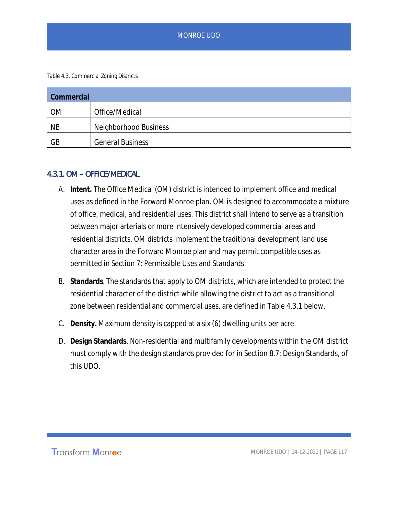Table 4.3. Commercial Zoning Districts

| Commercial |                              |  |
|------------|------------------------------|--|
| <b>OM</b>  | Office/Medical               |  |
| <b>NB</b>  | <b>Neighborhood Business</b> |  |
| GB         | <b>General Business</b>      |  |

#### 4.3.1. OM – OFFICE/MEDICAL

- A. **Intent.** The Office Medical (OM) district is intended to implement office and medical uses as defined in the Forward Monroe plan. OM is designed to accommodate a mixture of office, medical, and residential uses. This district shall intend to serve as a transition between major arterials or more intensively developed commercial areas and residential districts. OM districts implement the traditional development land use character area in the Forward Monroe plan and may permit compatible uses as permitted in Section 7: Permissible Uses and Standards.
- B. **Standards**. The standards that apply to OM districts, which are intended to protect the residential character of the district while allowing the district to act as a transitional zone between residential and commercial uses, are defined in Table 4.3.1 below.
- C. **Density.** Maximum density is capped at a six (6) dwelling units per acre.
- D. **Design Standards**. Non-residential and multifamily developments within the OM district must comply with the design standards provided for in Section 8.7: Design Standards, of this UDO.

Transform Monroe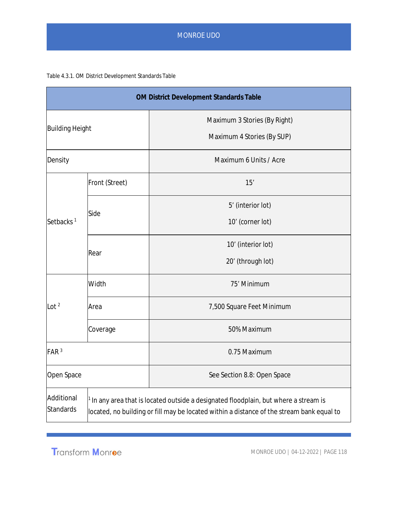#### Table 4.3.1. OM District Development Standards Table

|                                |                                                                                                                                                                                              | OM District Development Standards Table                    |
|--------------------------------|----------------------------------------------------------------------------------------------------------------------------------------------------------------------------------------------|------------------------------------------------------------|
| <b>Building Height</b>         |                                                                                                                                                                                              | Maximum 3 Stories (By Right)<br>Maximum 4 Stories (By SUP) |
| Density                        |                                                                                                                                                                                              | Maximum 6 Units / Acre                                     |
| Setbacks <sup>1</sup>          | Front (Street)                                                                                                                                                                               | 15'                                                        |
|                                | Side                                                                                                                                                                                         | 5' (interior lot)<br>10' (corner lot)                      |
|                                | Rear                                                                                                                                                                                         | 10' (interior lot)<br>20' (through lot)                    |
|                                | Width                                                                                                                                                                                        | 75' Minimum                                                |
| Lot $2$                        | Area                                                                                                                                                                                         | 7,500 Square Feet Minimum                                  |
|                                | Coverage                                                                                                                                                                                     | 50% Maximum                                                |
| FAR <sup>3</sup>               |                                                                                                                                                                                              | 0.75 Maximum                                               |
| Open Space                     |                                                                                                                                                                                              | See Section 8.8: Open Space                                |
| Additional<br><b>Standards</b> | <sup>1</sup> In any area that is located outside a designated floodplain, but where a stream is<br>located, no building or fill may be located within a distance of the stream bank equal to |                                                            |

Transform Monroe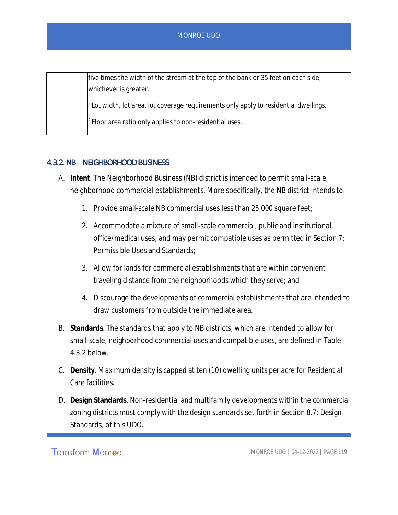| five times the width of the stream at the top of the bank or 35 feet on each side,                |
|---------------------------------------------------------------------------------------------------|
| whichever is greater.                                                                             |
| $\frac{1}{2}$ Lot width, lot area, lot coverage requirements only apply to residential dwellings. |
| $\beta$ Floor area ratio only applies to non-residential uses.                                    |

## 4.3.2. NB – NEIGHBORHOOD BUSINESS

- A. **Intent**. The Neighborhood Business (NB) district is intended to permit small-scale, neighborhood commercial establishments. More specifically, the NB district intends to:
	- 1. Provide small-scale NB commercial uses less than 25,000 square feet;
	- 2. Accommodate a mixture of small-scale commercial, public and institutional, office/medical uses, and may permit compatible uses as permitted in Section 7: Permissible Uses and Standards;
	- 3. Allow for lands for commercial establishments that are within convenient traveling distance from the neighborhoods which they serve; and
	- 4. Discourage the developments of commercial establishments that are intended to draw customers from outside the immediate area.
- B. **Standards**. The standards that apply to NB districts, which are intended to allow for small-scale, neighborhood commercial uses and compatible uses, are defined in Table 4.3.2 below.
- C. **Density**. Maximum density is capped at ten (10) dwelling units per acre for Residential Care facilities.
- D. **Design Standards**. Non-residential and multifamily developments within the commercial zoning districts must comply with the design standards set forth in Section 8.7: Design Standards, of this UDO.

Transform Monroe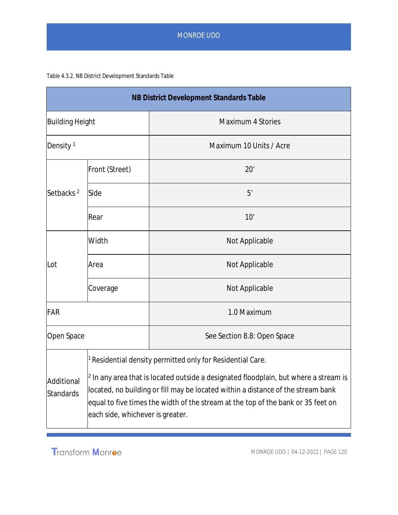#### Table 4.3.2. NB District Development Standards Table

| NB District Development Standards Table |                                                                                                                                                                                                                                                                                                                                                                             |                             |
|-----------------------------------------|-----------------------------------------------------------------------------------------------------------------------------------------------------------------------------------------------------------------------------------------------------------------------------------------------------------------------------------------------------------------------------|-----------------------------|
| Building Height                         |                                                                                                                                                                                                                                                                                                                                                                             | <b>Maximum 4 Stories</b>    |
| Density <sup>1</sup>                    |                                                                                                                                                                                                                                                                                                                                                                             | Maximum 10 Units / Acre     |
|                                         | Front (Street)                                                                                                                                                                                                                                                                                                                                                              | 20'                         |
| Setbacks <sup>2</sup>                   | Side                                                                                                                                                                                                                                                                                                                                                                        | 5'                          |
|                                         | Rear                                                                                                                                                                                                                                                                                                                                                                        | 10'                         |
|                                         | Width                                                                                                                                                                                                                                                                                                                                                                       | Not Applicable              |
| Lot                                     | Area                                                                                                                                                                                                                                                                                                                                                                        | Not Applicable              |
|                                         | Coverage                                                                                                                                                                                                                                                                                                                                                                    | Not Applicable              |
| FAR                                     |                                                                                                                                                                                                                                                                                                                                                                             | 1.0 Maximum                 |
| Open Space                              |                                                                                                                                                                                                                                                                                                                                                                             | See Section 8.8: Open Space |
| Additional<br><b>Standards</b>          | $^1$ Residential density permitted only for Residential Care.<br>$^{\rm{2}}$ In any area that is located outside a designated floodplain, but where a stream is<br>located, no building or fill may be located within a distance of the stream bank<br>equal to five times the width of the stream at the top of the bank or 35 feet on<br>each side, whichever is greater. |                             |

Transform Monroe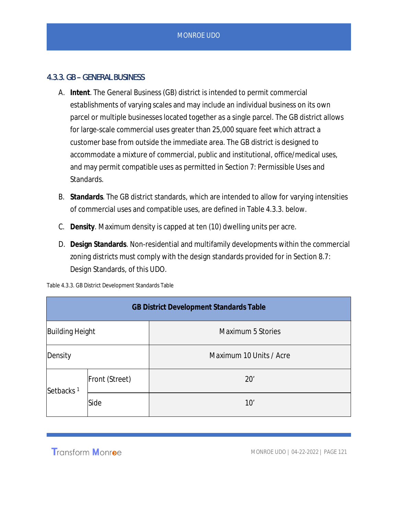### 4.3.3. GB – GENERAL BUSINESS

- A. **Intent**. The General Business (GB) district is intended to permit commercial establishments of varying scales and may include an individual business on its own parcel or multiple businesses located together as a single parcel. The GB district allows for large-scale commercial uses greater than 25,000 square feet which attract a customer base from outside the immediate area. The GB district is designed to accommodate a mixture of commercial, public and institutional, office/medical uses, and may permit compatible uses as permitted in Section 7: Permissible Uses and Standards.
- B. **Standards**. The GB district standards, which are intended to allow for varying intensities of commercial uses and compatible uses, are defined in Table 4.3.3. below.
- C. **Density**. Maximum density is capped at ten (10) dwelling units per acre.
- D. **Design Standards**. Non-residential and multifamily developments within the commercial zoning districts must comply with the design standards provided for in Section 8.7: Design Standards, of this UDO.

| <b>GB District Development Standards Table</b> |                |                         |
|------------------------------------------------|----------------|-------------------------|
| <b>Building Height</b>                         |                | Maximum 5 Stories       |
| Density                                        |                | Maximum 10 Units / Acre |
| Setbacks <sup>1</sup>                          | Front (Street) | 20'                     |
|                                                | Side           | 10'                     |

Table 4.3.3. GB District Development Standards Table

**Transform Monroe**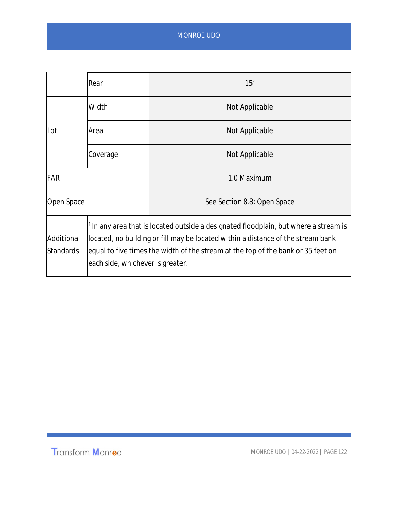|                                | Rear                                                                                                                                                                                                                                                                                           | 15'                         |
|--------------------------------|------------------------------------------------------------------------------------------------------------------------------------------------------------------------------------------------------------------------------------------------------------------------------------------------|-----------------------------|
|                                | Width                                                                                                                                                                                                                                                                                          | Not Applicable              |
| Lot                            | Area                                                                                                                                                                                                                                                                                           | Not Applicable              |
|                                | Coverage                                                                                                                                                                                                                                                                                       | Not Applicable              |
| FAR                            |                                                                                                                                                                                                                                                                                                | 1.0 Maximum                 |
| Open Space                     |                                                                                                                                                                                                                                                                                                | See Section 8.8: Open Space |
| Additional<br><b>Standards</b> | In any area that is located outside a designated floodplain, but where a stream is<br>located, no building or fill may be located within a distance of the stream bank<br>equal to five times the width of the stream at the top of the bank or 35 feet on<br>each side, whichever is greater. |                             |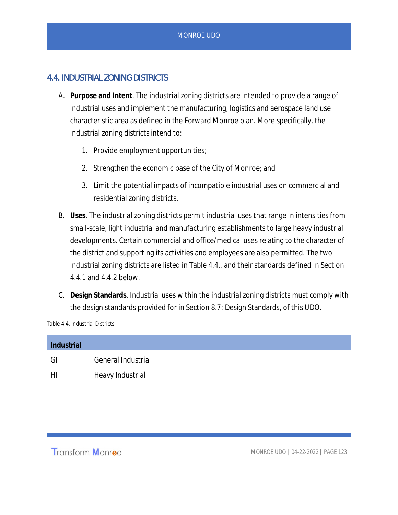## 4.4. INDUSTRIAL ZONING DISTRICTS

- A. **Purpose and Intent**. The industrial zoning districts are intended to provide a range of industrial uses and implement the manufacturing, logistics and aerospace land use characteristic area as defined in the Forward Monroe plan. More specifically, the industrial zoning districts intend to:
	- 1. Provide employment opportunities;
	- 2. Strengthen the economic base of the City of Monroe; and
	- 3. Limit the potential impacts of incompatible industrial uses on commercial and residential zoning districts.
- B. **Uses**. The industrial zoning districts permit industrial uses that range in intensities from small-scale, light industrial and manufacturing establishments to large heavy industrial developments. Certain commercial and office/medical uses relating to the character of the district and supporting its activities and employees are also permitted. The two industrial zoning districts are listed in Table 4.4., and their standards defined in Section 4.4.1 and 4.4.2 below.
- C. **Design Standards**. Industrial uses within the industrial zoning districts must comply with the design standards provided for in Section 8.7: Design Standards, of this UDO.

Table 4.4. Industrial Districts

| Industrial |                           |  |
|------------|---------------------------|--|
| GI GI      | <b>General Industrial</b> |  |
| HI         | Heavy Industrial          |  |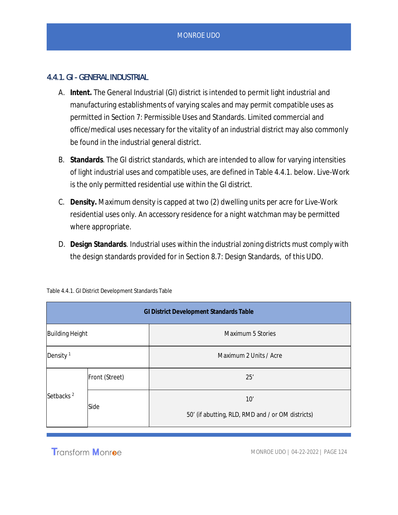### 4.4.1. GI - GENERAL INDUSTRIAL

- A. **Intent.** The General Industrial (GI) district is intended to permit light industrial and manufacturing establishments of varying scales and may permit compatible uses as permitted in Section 7: Permissible Uses and Standards. Limited commercial and office/medical uses necessary for the vitality of an industrial district may also commonly be found in the industrial general district.
- B. **Standards**. The GI district standards, which are intended to allow for varying intensities of light industrial uses and compatible uses, are defined in Table 4.4.1. below. Live-Work is the only permitted residential use within the GI district.
- C. **Density.** Maximum density is capped at two (2) dwelling units per acre for Live-Work residential uses only. An accessory residence for a night watchman may be permitted where appropriate.
- D. **Design Standards**. Industrial uses within the industrial zoning districts must comply with the design standards provided for in Section 8.7: Design Standards, of this UDO.

| <b>GI District Development Standards Table</b> |                |                                                          |
|------------------------------------------------|----------------|----------------------------------------------------------|
| <b>Building Height</b>                         |                | Maximum 5 Stories                                        |
| Density <sup>1</sup>                           |                | Maximum 2 Units / Acre                                   |
| Setbacks <sup>2</sup>                          | Front (Street) | 25'                                                      |
|                                                | Side           | 10'<br>50' (if abutting, RLD, RMD and / or OM districts) |

Table 4.4.1. GI District Development Standards Table

**Transform Monroe**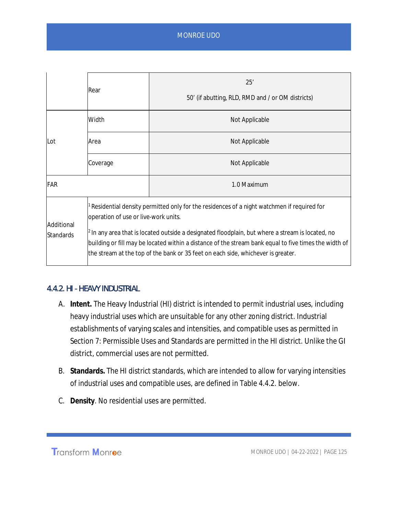|                                | Rear                                                                                                                                                                                                                                                                                                                                                                                                                                 | 25'<br>50' (if abutting, RLD, RMD and / or OM districts) |
|--------------------------------|--------------------------------------------------------------------------------------------------------------------------------------------------------------------------------------------------------------------------------------------------------------------------------------------------------------------------------------------------------------------------------------------------------------------------------------|----------------------------------------------------------|
| Lot                            | Width                                                                                                                                                                                                                                                                                                                                                                                                                                | Not Applicable                                           |
|                                | Area                                                                                                                                                                                                                                                                                                                                                                                                                                 | Not Applicable                                           |
|                                | Coverage                                                                                                                                                                                                                                                                                                                                                                                                                             | Not Applicable                                           |
| FAR                            |                                                                                                                                                                                                                                                                                                                                                                                                                                      | 1.0 Maximum                                              |
| Additional<br><b>Standards</b> | Residential density permitted only for the residences of a night watchmen if required for<br>operation of use or live-work units.<br>$2$ In any area that is located outside a designated floodplain, but where a stream is located, no<br>building or fill may be located within a distance of the stream bank equal to five times the width of<br>the stream at the top of the bank or 35 feet on each side, whichever is greater. |                                                          |

### 4.4.2. HI - HEAVY INDUSTRIAL

- A. **Intent.** The Heavy Industrial (HI) district is intended to permit industrial uses, including heavy industrial uses which are unsuitable for any other zoning district. Industrial establishments of varying scales and intensities, and compatible uses as permitted in Section 7: Permissible Uses and Standards are permitted in the HI district. Unlike the GI district, commercial uses are not permitted.
- B. **Standards.** The HI district standards, which are intended to allow for varying intensities of industrial uses and compatible uses, are defined in Table 4.4.2. below.
- C. **Density**. No residential uses are permitted.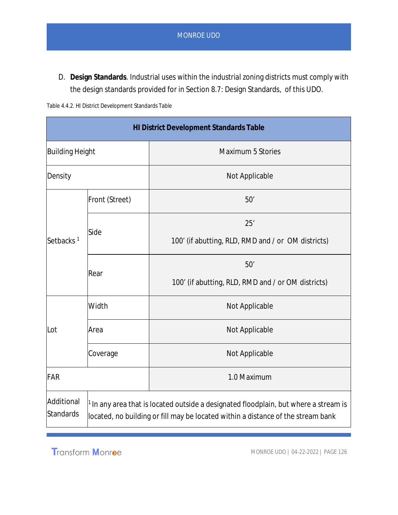D. **Design Standards**. Industrial uses within the industrial zoning districts must comply with the design standards provided for in Section 8.7: Design Standards, of this UDO.

|  | Table 4.4.2. HI District Development Standards Table |  |
|--|------------------------------------------------------|--|

| <b>HI District Development Standards Table</b> |                                                                                                                                                                                     |                                                    |
|------------------------------------------------|-------------------------------------------------------------------------------------------------------------------------------------------------------------------------------------|----------------------------------------------------|
| <b>Building Height</b>                         |                                                                                                                                                                                     | <b>Maximum 5 Stories</b>                           |
| Density                                        |                                                                                                                                                                                     | Not Applicable                                     |
|                                                | Front (Street)                                                                                                                                                                      | 50'                                                |
|                                                |                                                                                                                                                                                     | 25'                                                |
| Setbacks <sup>1</sup>                          | Side                                                                                                                                                                                | 100' (if abutting, RLD, RMD and / or OM districts) |
|                                                | Rear                                                                                                                                                                                | 50'                                                |
|                                                |                                                                                                                                                                                     | 100' (if abutting, RLD, RMD and / or OM districts) |
|                                                | Width                                                                                                                                                                               | Not Applicable                                     |
| Lot                                            | Area                                                                                                                                                                                | Not Applicable                                     |
|                                                | Coverage                                                                                                                                                                            | Not Applicable                                     |
| FAR                                            |                                                                                                                                                                                     | 1.0 Maximum                                        |
| Additional<br><b>Standards</b>                 | <sup>1</sup> In any area that is located outside a designated floodplain, but where a stream is<br>located, no building or fill may be located within a distance of the stream bank |                                                    |

Transform Monroe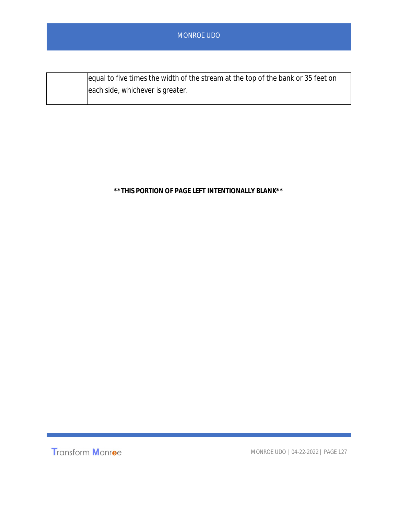| equal to five times the width of the stream at the top of the bank or 35 feet on |
|----------------------------------------------------------------------------------|
| each side, whichever is greater.                                                 |

**\*\*THIS PORTION OF PAGE LEFT INTENTIONALLY BLANK\*\***

Transform Monroe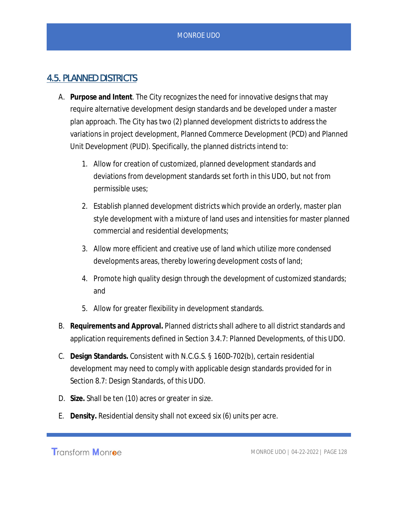## 4.5. PLANNED DISTRICTS

- A. **Purpose and Intent**. The City recognizes the need for innovative designs that may require alternative development design standards and be developed under a master plan approach. The City has two (2) planned development districts to address the variations in project development, Planned Commerce Development (PCD) and Planned Unit Development (PUD). Specifically, the planned districts intend to:
	- 1. Allow for creation of customized, planned development standards and deviations from development standards set forth in this UDO, but not from permissible uses;
	- 2. Establish planned development districts which provide an orderly, master plan style development with a mixture of land uses and intensities for master planned commercial and residential developments;
	- 3. Allow more efficient and creative use of land which utilize more condensed developments areas, thereby lowering development costs of land;
	- 4. Promote high quality design through the development of customized standards; and
	- 5. Allow for greater flexibility in development standards.
- B. **Requirements and Approval.** Planned districts shall adhere to all district standards and application requirements defined in Section 3.4.7: Planned Developments, of this UDO.
- C. **Design Standards.** Consistent with N.C.G.S. § 160D-702(b), certain residential development may need to comply with applicable design standards provided for in Section 8.7: Design Standards, of this UDO.
- D. **Size.** Shall be ten (10) acres or greater in size.
- E. **Density.** Residential density shall not exceed six (6) units per acre.

Transform Monroe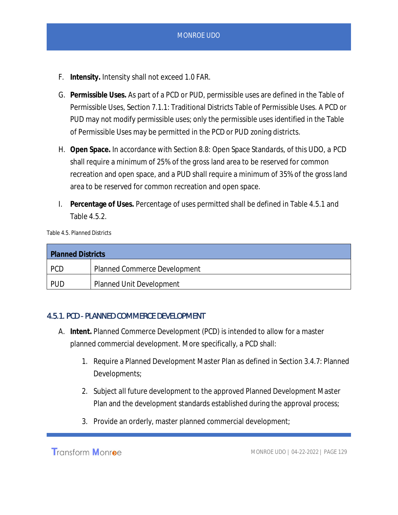- F. **Intensity.** Intensity shall not exceed 1.0 FAR.
- G. **Permissible Uses.** As part of a PCD or PUD, permissible uses are defined in the Table of Permissible Uses, Section 7.1.1: Traditional Districts Table of Permissible Uses. A PCD or PUD may not modify permissible uses; only the permissible uses identified in the Table of Permissible Uses may be permitted in the PCD or PUD zoning districts.
- H. **Open Space.** In accordance with Section 8.8: Open Space Standards, of this UDO, a PCD shall require a minimum of 25% of the gross land area to be reserved for common recreation and open space, and a PUD shall require a minimum of 35% of the gross land area to be reserved for common recreation and open space.
- I. **Percentage of Uses.** Percentage of uses permitted shall be defined in Table 4.5.1 and Table 4.5.2.

Table 4.5. Planned Districts

| <b>Planned Districts</b> |                                     |
|--------------------------|-------------------------------------|
| <b>PCD</b>               | <b>Planned Commerce Development</b> |
| <b>PUD</b>               | <b>Planned Unit Development</b>     |

#### 4.5.1. PCD - PLANNED COMMERCE DEVELOPMENT

- A. **Intent.** Planned Commerce Development (PCD) is intended to allow for a master planned commercial development. More specifically, a PCD shall:
	- 1. Require a Planned Development Master Plan as defined in Section 3.4.7: Planned Developments;
	- 2. Subject all future development to the approved Planned Development Master Plan and the development standards established during the approval process;
	- 3. Provide an orderly, master planned commercial development;

**Transform Monroe**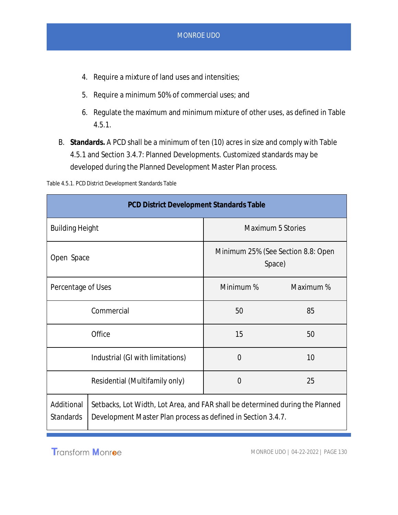- 4. Require a mixture of land uses and intensities;
- 5. Require a minimum 50% of commercial uses; and
- 6. Regulate the maximum and minimum mixture of other uses, as defined in Table 4.5.1.
- B. **Standards.** A PCD shall be a minimum of ten (10) acres in size and comply with Table 4.5.1 and Section 3.4.7: Planned Developments. Customized standards may be developed during the Planned Development Master Plan process.

Table 4.5.1. PCD District Development Standards Table

| <b>PCD District Development Standards Table</b> |                                                                                                                                               |                                              |           |
|-------------------------------------------------|-----------------------------------------------------------------------------------------------------------------------------------------------|----------------------------------------------|-----------|
| <b>Building Height</b>                          |                                                                                                                                               | <b>Maximum 5 Stories</b>                     |           |
| Open Space                                      |                                                                                                                                               | Minimum 25% (See Section 8.8: Open<br>Space) |           |
| Percentage of Uses                              |                                                                                                                                               | Minimum %                                    | Maximum % |
|                                                 | Commercial                                                                                                                                    | 50                                           | 85        |
|                                                 | Office                                                                                                                                        | 15                                           | 50        |
| Industrial (GI with limitations)                |                                                                                                                                               | $\overline{0}$                               | 10        |
| Residential (Multifamily only)                  |                                                                                                                                               | $\overline{0}$                               | 25        |
| Additional<br><b>Standards</b>                  | Setbacks, Lot Width, Lot Area, and FAR shall be determined during the Planned<br>Development Master Plan process as defined in Section 3.4.7. |                                              |           |

**Transform Monroe**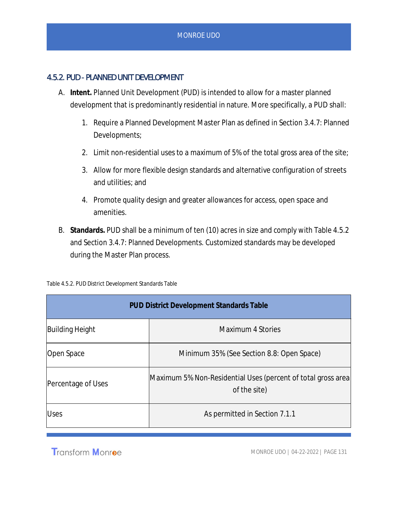## 4.5.2. PUD - PLANNED UNIT DEVELOPMENT

- A. **Intent.** Planned Unit Development (PUD) is intended to allow for a master planned development that is predominantly residential in nature. More specifically, a PUD shall:
	- 1. Require a Planned Development Master Plan as defined in Section 3.4.7: Planned Developments;
	- 2. Limit non-residential uses to a maximum of 5% of the total gross area of the site;
	- 3. Allow for more flexible design standards and alternative configuration of streets and utilities; and
	- 4. Promote quality design and greater allowances for access, open space and amenities.
- B. **Standards.** PUD shall be a minimum of ten (10) acres in size and comply with Table 4.5.2 and Section 3.4.7: Planned Developments. Customized standards may be developed during the Master Plan process.

| <b>PUD District Development Standards Table</b> |                                                                               |  |  |  |
|-------------------------------------------------|-------------------------------------------------------------------------------|--|--|--|
| <b>Building Height</b>                          | Maximum 4 Stories                                                             |  |  |  |
| Open Space                                      | Minimum 35% (See Section 8.8: Open Space)                                     |  |  |  |
| Percentage of Uses                              | Maximum 5% Non-Residential Uses (percent of total gross area)<br>of the site) |  |  |  |
| <b>Uses</b>                                     | As permitted in Section 7.1.1                                                 |  |  |  |

Table 4.5.2. PUD District Development Standards Table

**Transform Monroe**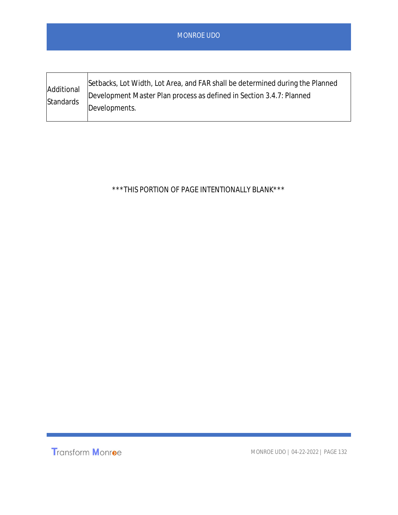| <b>MONROE UDO</b> |  |
|-------------------|--|
|                   |  |
|                   |  |

| Additional<br>Standards | Setbacks, Lot Width, Lot Area, and FAR shall be determined during the Planned<br>Development Master Plan process as defined in Section 3.4.7: Planned<br>Developments. |
|-------------------------|------------------------------------------------------------------------------------------------------------------------------------------------------------------------|
|-------------------------|------------------------------------------------------------------------------------------------------------------------------------------------------------------------|

\*\*\*THIS PORTION OF PAGE INTENTIONALLY BLANK\*\*\*

Transform Monroe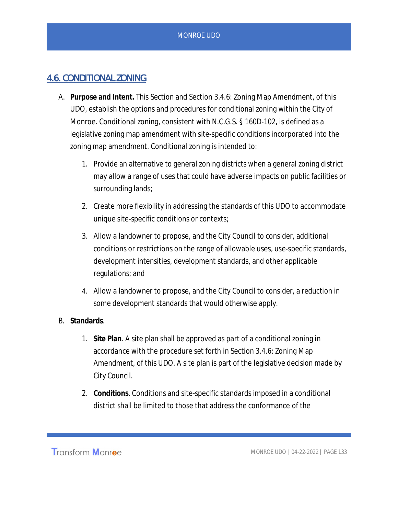## 4.6. CONDITIONAL ZONING

- A. **Purpose and Intent.** This Section and Section 3.4.6: Zoning Map Amendment, of this UDO, establish the options and procedures for conditional zoning within the City of Monroe. Conditional zoning, consistent with N.C.G.S. § 160D-102, is defined as a legislative zoning map amendment with site-specific conditions incorporated into the zoning map amendment. Conditional zoning is intended to:
	- 1. Provide an alternative to general zoning districts when a general zoning district may allow a range of uses that could have adverse impacts on public facilities or surrounding lands;
	- 2. Create more flexibility in addressing the standards of this UDO to accommodate unique site-specific conditions or contexts;
	- 3. Allow a landowner to propose, and the City Council to consider, additional conditions or restrictions on the range of allowable uses, use-specific standards, development intensities, development standards, and other applicable regulations; and
	- 4. Allow a landowner to propose, and the City Council to consider, a reduction in some development standards that would otherwise apply.

### B. **Standards**.

- 1. **Site Plan**. A site plan shall be approved as part of a conditional zoning in accordance with the procedure set forth in Section 3.4.6: Zoning Map Amendment, of this UDO. A site plan is part of the legislative decision made by City Council.
- 2. **Conditions**. Conditions and site-specific standards imposed in a conditional district shall be limited to those that address the conformance of the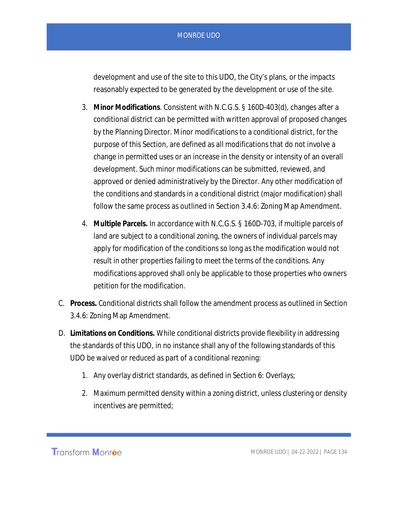development and use of the site to this UDO, the City's plans, or the impacts reasonably expected to be generated by the development or use of the site.

- 3. **Minor Modifications**. Consistent with N.C.G.S. § 160D-403(d), changes after a conditional district can be permitted with written approval of proposed changes by the Planning Director. Minor modifications to a conditional district, for the purpose of this Section, are defined as all modifications that do not involve a change in permitted uses or an increase in the density or intensity of an overall development. Such minor modifications can be submitted, reviewed, and approved or denied administratively by the Director. Any other modification of the conditions and standards in a conditional district (major modification) shall follow the same process as outlined in Section 3.4.6: Zoning Map Amendment.
- 4. **Multiple Parcels.** In accordance with N.C.G.S. § 160D-703, if multiple parcels of land are subject to a conditional zoning, the owners of individual parcels may apply for modification of the conditions so long as the modification would not result in other properties failing to meet the terms of the conditions. Any modifications approved shall only be applicable to those properties who owners petition for the modification.
- C. **Process.** Conditional districts shall follow the amendment process as outlined in Section 3.4.6: Zoning Map Amendment.
- D. **Limitations on Conditions.** While conditional districts provide flexibility in addressing the standards of this UDO, in no instance shall any of the following standards of this UDO be waived or reduced as part of a conditional rezoning:
	- 1. Any overlay district standards, as defined in Section 6: Overlays;
	- 2. Maximum permitted density within a zoning district, unless clustering or density incentives are permitted;

**Transform Monroe**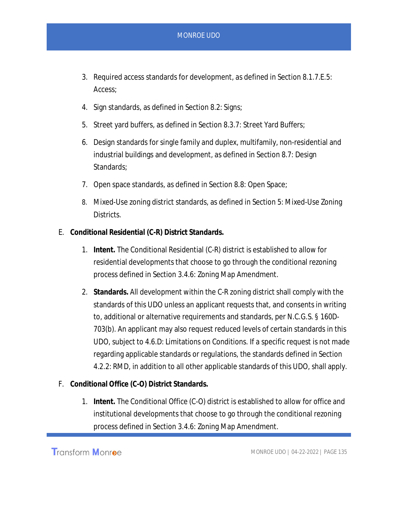- 3. Required access standards for development, as defined in Section 8.1.7.E.5: Access;
- 4. Sign standards, as defined in Section 8.2: Signs;
- 5. Street yard buffers, as defined in Section 8.3.7: Street Yard Buffers;
- 6. Design standards for single family and duplex, multifamily, non-residential and industrial buildings and development, as defined in Section 8.7: Design Standards;
- 7. Open space standards, as defined in Section 8.8: Open Space;
- 8. Mixed-Use zoning district standards, as defined in Section 5: Mixed-Use Zoning Districts.
- E. **Conditional Residential (C-R) District Standards.**
	- 1. **Intent.** The Conditional Residential (C-R) district is established to allow for residential developments that choose to go through the conditional rezoning process defined in Section 3.4.6: Zoning Map Amendment.
	- 2. **Standards.** All development within the C-R zoning district shall comply with the standards of this UDO unless an applicant requests that, and consents in writing to, additional or alternative requirements and standards, per N.C.G.S. § 160D-703(b). An applicant may also request reduced levels of certain standards in this UDO, subject to 4.6.D: Limitations on Conditions. If a specific request is not made regarding applicable standards or regulations, the standards defined in Section 4.2.2: RMD, in addition to all other applicable standards of this UDO, shall apply.
- F. **Conditional Office (C-O) District Standards.**
	- 1. **Intent.** The Conditional Office (C-O) district is established to allow for office and institutional developments that choose to go through the conditional rezoning process defined in Section 3.4.6: Zoning Map Amendment.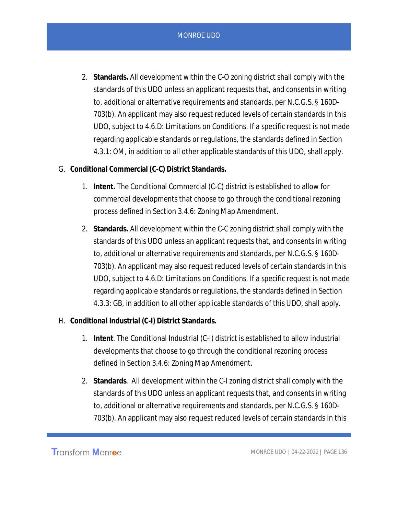2. **Standards.** All development within the C-O zoning district shall comply with the standards of this UDO unless an applicant requests that, and consents in writing to, additional or alternative requirements and standards, per N.C.G.S. § 160D-703(b). An applicant may also request reduced levels of certain standards in this UDO, subject to 4.6.D: Limitations on Conditions. If a specific request is not made regarding applicable standards or regulations, the standards defined in Section 4.3.1: OM, in addition to all other applicable standards of this UDO, shall apply.

- G. **Conditional Commercial (C-C) District Standards.**
	- 1. **Intent.** The Conditional Commercial (C-C) district is established to allow for commercial developments that choose to go through the conditional rezoning process defined in Section 3.4.6: Zoning Map Amendment.
	- 2. **Standards.** All development within the C-C zoning district shall comply with the standards of this UDO unless an applicant requests that, and consents in writing to, additional or alternative requirements and standards, per N.C.G.S. § 160D-703(b). An applicant may also request reduced levels of certain standards in this UDO, subject to 4.6.D: Limitations on Conditions. If a specific request is not made regarding applicable standards or regulations, the standards defined in Section 4.3.3: GB, in addition to all other applicable standards of this UDO, shall apply.
- H. **Conditional Industrial (C-I) District Standards.**
	- 1. **Intent**. The Conditional Industrial (C-I) district is established to allow industrial developments that choose to go through the conditional rezoning process defined in Section 3.4.6: Zoning Map Amendment.
	- 2. **Standards**. All development within the C-I zoning district shall comply with the standards of this UDO unless an applicant requests that, and consents in writing to, additional or alternative requirements and standards, per N.C.G.S. § 160D-703(b). An applicant may also request reduced levels of certain standards in this

Transform Monroe